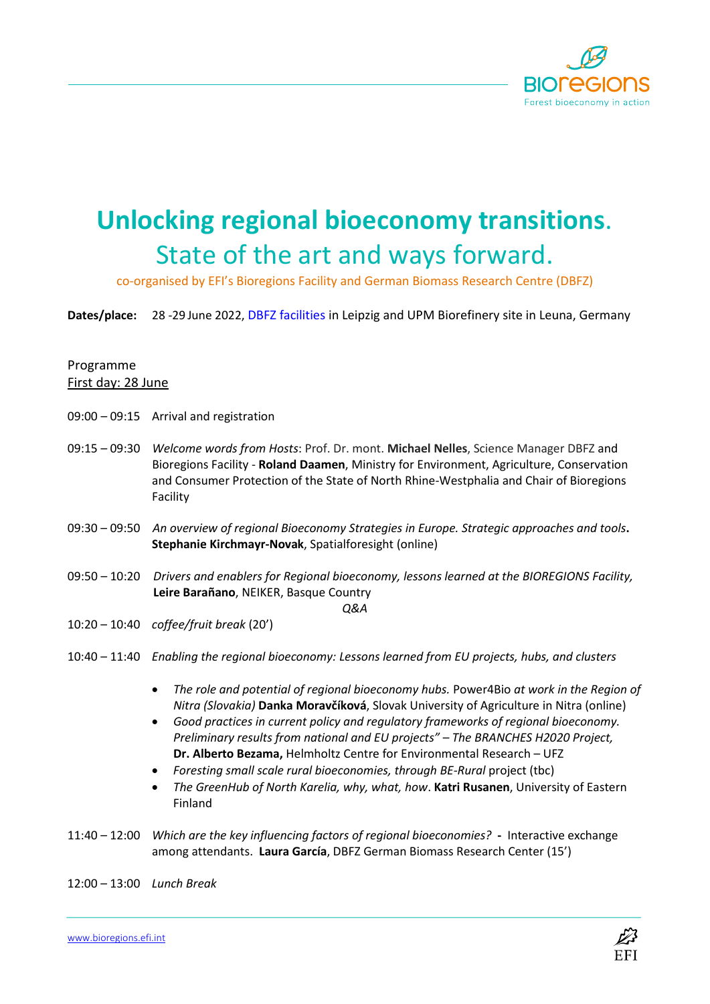

## **Unlocking regional bioeconomy transitions**. State of the art and ways forward.

co-organised by EFI's Bioregions Facility and German Biomass Research Centre (DBFZ)

**Dates/place:** 28 -29 June 2022, DBFZ facilities in Leipzig and UPM Biorefinery site in Leuna, Germany

## Programme First day: 28 June

- 09:00 09:15 Arrival and registration
- 09:15 09:30 *Welcome words from Hosts*: Prof. Dr. mont. **Michael Nelles**, Science Manager DBFZ and Bioregions Facility - **Roland Daamen**, Ministry for Environment, Agriculture, Conservation and Consumer Protection of the State of North Rhine-Westphalia and Chair of Bioregions Facility
- 09:30 09:50 *An overview of regional Bioeconomy Strategies in Europe. Strategic approaches and tools***. Stephanie Kirchmayr-Novak**, Spatialforesight (online)
- 09:50 10:20 *Drivers and enablers for Regional bioeconomy, lessons learned at the BIOREGIONS Facility,* **Leire Barañano**, NEIKER, Basque Country

*Q&A*

- 10:20 10:40 *coffee/fruit break* (20')
- 10:40 11:40 *Enabling the regional bioeconomy: Lessons learned from EU projects, hubs, and clusters*
	- *The role and potential of regional bioeconomy hubs.* Power4Bio *at work in the Region of Nitra (Slovakia)* **Danka Moravčíková**, Slovak University of Agriculture in Nitra (online)
	- *Good practices in current policy and regulatory frameworks of regional bioeconomy. Preliminary results from national and EU projects" – The BRANCHES H2020 Project,* **Dr. Alberto Bezama,** Helmholtz Centre for Environmental Research – UFZ
	- *Foresting small scale rural bioeconomies, through BE-Rural* project (tbc)
	- *The GreenHub of North Karelia, why, what, how*. **Katri Rusanen**, University of Eastern Finland
- 11:40 12:00 *Which are the key influencing factors of regional bioeconomies?* **-** Interactive exchange among attendants. **Laura García**, DBFZ German Biomass Research Center (15')

12:00 – 13:00 *Lunch Break*